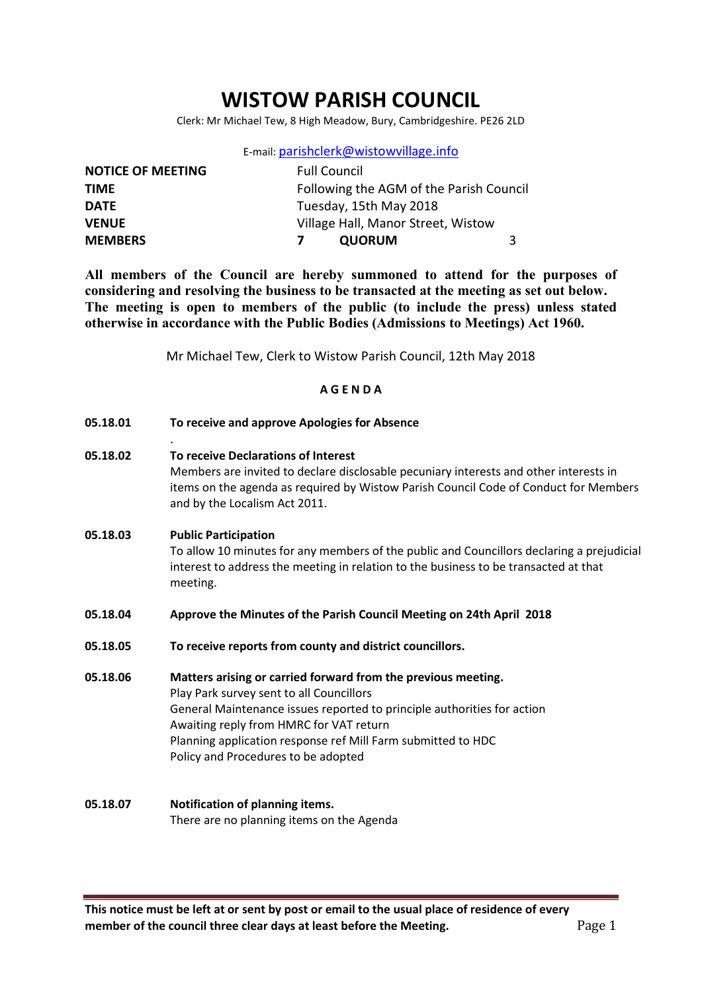# WISTOW PARISH COUNCIL

Clerk: Mr Michael Tew, 8 High Meadow, Bury, Cambridgeshire. PE26 2LD

|  | E-mail: parishclerk@wistowvillage.info |  |
|--|----------------------------------------|--|
|--|----------------------------------------|--|

| <b>NOTICE OF MEETING</b> | <b>Full Council</b>                     |  |
|--------------------------|-----------------------------------------|--|
| <b>TIME</b>              | Following the AGM of the Parish Council |  |
| <b>DATE</b>              | Tuesday, 15th May 2018                  |  |
| <b>VENUE</b>             | Village Hall, Manor Street, Wistow      |  |
| <b>MEMBERS</b>           | <b>QUORUM</b><br>3                      |  |

All members of the Council are hereby summoned to attend for the purposes of considering and resolving the business to be transacted at the meeting as set out below. The meeting is open to members of the public (to include the press) unless stated otherwise in accordance with the Public Bodies (Admissions to Meetings) Act 1960.

Mr Michael Tew, Clerk to Wistow Parish Council, 12th May 2018

#### A G E N D A

05.18.01 To receive and approve Apologies for Absence

.

05.18.02 To receive Declarations of Interest Members are invited to declare disclosable pecuniary interests and other interests in items on the agenda as required by Wistow Parish Council Code of Conduct for Members and by the Localism Act 2011.

# 05.18.03 Public Participation To allow 10 minutes for any members of the public and Councillors declaring a prejudicial interest to address the meeting in relation to the business to be transacted at that meeting.

- 05.18.04 Approve the Minutes of the Parish Council Meeting on 24th April 2018
- 05.18.05 To receive reports from county and district councillors.
- 05.18.06 Matters arising or carried forward from the previous meeting. Play Park survey sent to all Councillors General Maintenance issues reported to principle authorities for action Awaiting reply from HMRC for VAT return Planning application response ref Mill Farm submitted to HDC Policy and Procedures to be adopted
- 05.18.07 Notification of planning items. There are no planning items on the Agenda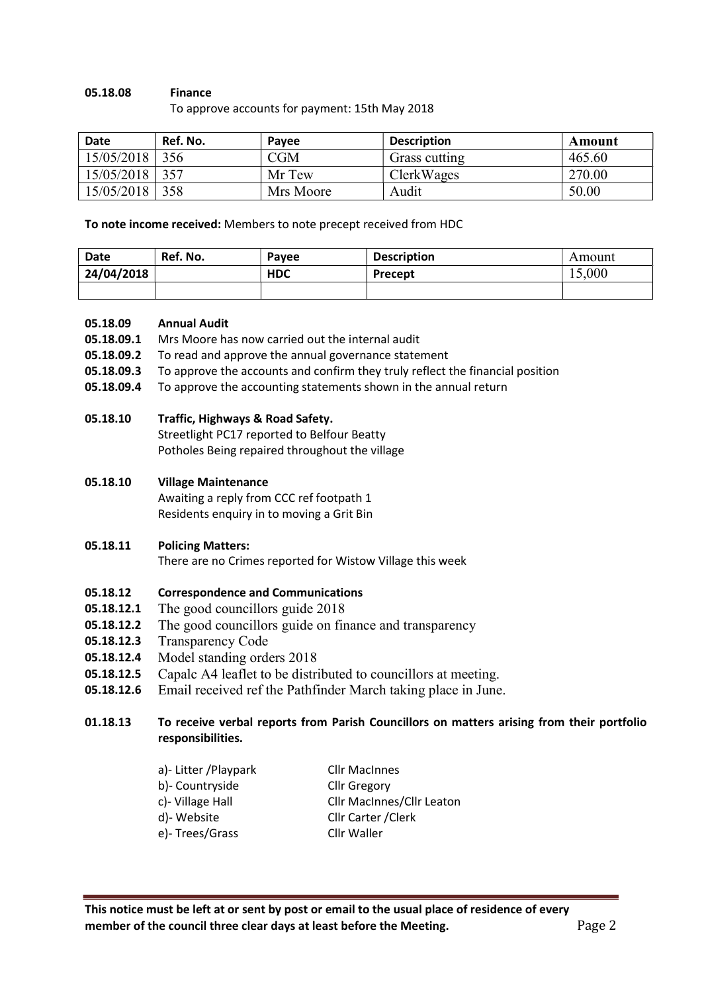#### 05.18.08 Finance

To approve accounts for payment: 15th May 2018

| <b>Date</b> | Ref. No. | Pavee     | <b>Description</b> | Amount |
|-------------|----------|-----------|--------------------|--------|
| 15/05/2018  | 356      | $\rm CGM$ | Grass cutting      | 465.60 |
| 15/05/2018  | 357      | Mr Tew    | ClerkWages         | 270.00 |
| 15/05/2018  | 358      | Mrs Moore | Audit              | 50.00  |

To note income received: Members to note precept received from HDC

| Date       | Ref. No. | Payee      | <b>Description</b> | Amount |
|------------|----------|------------|--------------------|--------|
| 24/04/2018 |          | <b>HDC</b> | Precept            | 15,000 |
|            |          |            |                    |        |

#### 05.18.09 Annual Audit

- 05.18.09.1 Mrs Moore has now carried out the internal audit
- 05.18.09.2 To read and approve the annual governance statement
- 05.18.09.3 To approve the accounts and confirm they truly reflect the financial position
- 05.18.09.4 To approve the accounting statements shown in the annual return

# 05.18.10 Traffic, Highways & Road Safety.

Streetlight PC17 reported to Belfour Beatty Potholes Being repaired throughout the village

### 05.18.10 Village Maintenance

Awaiting a reply from CCC ref footpath 1 Residents enquiry in to moving a Grit Bin

### 05.18.11 Policing Matters:

There are no Crimes reported for Wistow Village this week

### 05.18.12 Correspondence and Communications

- **05.18.12.1** The good councillors guide 2018
- 05.18.12.2 The good councillors guide on finance and transparency
- 05.18.12.3 Transparency Code
- 05.18.12.4 Model standing orders 2018
- 05.18.12.5 Capalc A4 leaflet to be distributed to councillors at meeting.
- 05.18.12.6 Email received ref the Pathfinder March taking place in June.

# 01.18.13 To receive verbal reports from Parish Councillors on matters arising from their portfolio responsibilities.

| a)- Litter / Playpark | <b>Cllr MacInnes</b>             |
|-----------------------|----------------------------------|
| b)- Countryside       | <b>Cllr Gregory</b>              |
| c)- Village Hall      | <b>Cllr MacInnes/Cllr Leaton</b> |
| d)-Website            | Cllr Carter / Clerk              |
| e)-Trees/Grass        | Cllr Waller                      |
|                       |                                  |